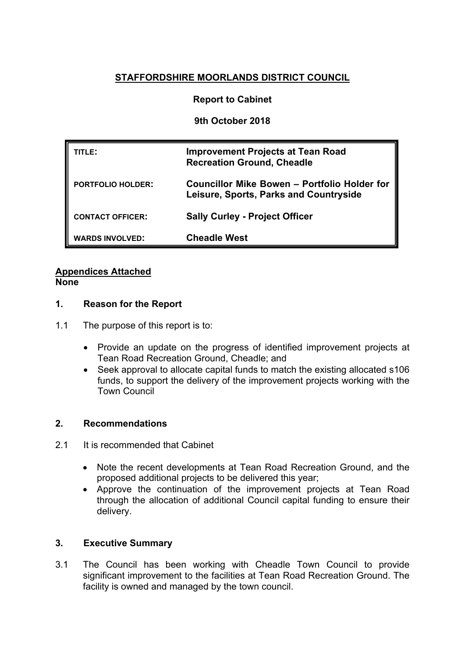# **STAFFORDSHIRE MOORLANDS DISTRICT COUNCIL**

# **Report to Cabinet**

**9th October 2018**

| TITLE:                   | <b>Improvement Projects at Tean Road</b><br><b>Recreation Ground, Cheadle</b>          |
|--------------------------|----------------------------------------------------------------------------------------|
| <b>PORTFOLIO HOLDER:</b> | Councillor Mike Bowen - Portfolio Holder for<br>Leisure, Sports, Parks and Countryside |
| <b>CONTACT OFFICER:</b>  | <b>Sally Curley - Project Officer</b>                                                  |
| <b>WARDS INVOLVED:</b>   | <b>Cheadle West</b>                                                                    |

#### **Appendices Attached None**

# **1. Reason for the Report**

- 1.1 The purpose of this report is to:
	- Provide an update on the progress of identified improvement projects at Tean Road Recreation Ground, Cheadle; and
	- Seek approval to allocate capital funds to match the existing allocated s106 funds, to support the delivery of the improvement projects working with the Town Council

# **2. Recommendations**

- 2.1 It is recommended that Cabinet
	- Note the recent developments at Tean Road Recreation Ground, and the proposed additional projects to be delivered this year;
	- Approve the continuation of the improvement projects at Tean Road through the allocation of additional Council capital funding to ensure their delivery.

# **3. Executive Summary**

3.1 The Council has been working with Cheadle Town Council to provide significant improvement to the facilities at Tean Road Recreation Ground. The facility is owned and managed by the town council.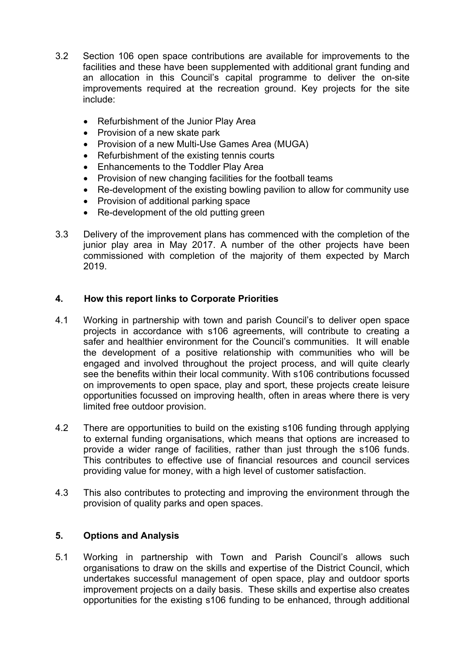- 3.2 Section 106 open space contributions are available for improvements to the facilities and these have been supplemented with additional grant funding and an allocation in this Council's capital programme to deliver the on-site improvements required at the recreation ground. Key projects for the site include:
	- Refurbishment of the Junior Play Area
	- Provision of a new skate park
	- Provision of a new Multi-Use Games Area (MUGA)
	- Refurbishment of the existing tennis courts
	- Enhancements to the Toddler Play Area
	- Provision of new changing facilities for the football teams
	- Re-development of the existing bowling pavilion to allow for community use
	- Provision of additional parking space
	- Re-development of the old putting green
- 3.3 Delivery of the improvement plans has commenced with the completion of the junior play area in May 2017. A number of the other projects have been commissioned with completion of the majority of them expected by March 2019.

# **4. How this report links to Corporate Priorities**

- 4.1 Working in partnership with town and parish Council's to deliver open space projects in accordance with s106 agreements, will contribute to creating a safer and healthier environment for the Council's communities. It will enable the development of a positive relationship with communities who will be engaged and involved throughout the project process, and will quite clearly see the benefits within their local community. With s106 contributions focussed on improvements to open space, play and sport, these projects create leisure opportunities focussed on improving health, often in areas where there is very limited free outdoor provision.
- 4.2 There are opportunities to build on the existing s106 funding through applying to external funding organisations, which means that options are increased to provide a wider range of facilities, rather than just through the s106 funds. This contributes to effective use of financial resources and council services providing value for money, with a high level of customer satisfaction.
- 4.3 This also contributes to protecting and improving the environment through the provision of quality parks and open spaces.

# **5. Options and Analysis**

5.1 Working in partnership with Town and Parish Council's allows such organisations to draw on the skills and expertise of the District Council, which undertakes successful management of open space, play and outdoor sports improvement projects on a daily basis. These skills and expertise also creates opportunities for the existing s106 funding to be enhanced, through additional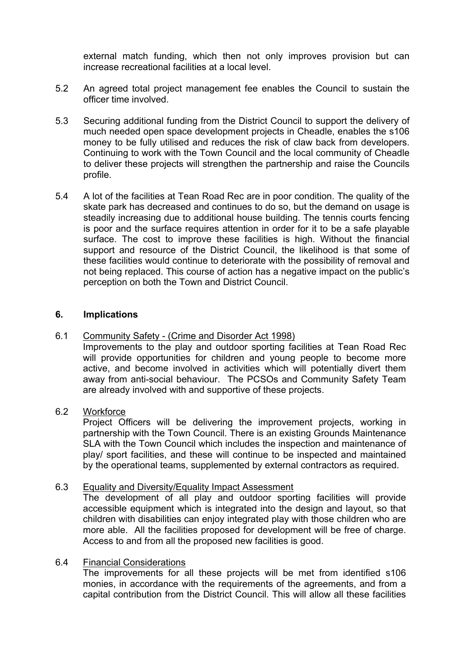external match funding, which then not only improves provision but can increase recreational facilities at a local level.

- 5.2 An agreed total project management fee enables the Council to sustain the officer time involved.
- 5.3 Securing additional funding from the District Council to support the delivery of much needed open space development projects in Cheadle, enables the s106 money to be fully utilised and reduces the risk of claw back from developers. Continuing to work with the Town Council and the local community of Cheadle to deliver these projects will strengthen the partnership and raise the Councils profile.
- 5.4 A lot of the facilities at Tean Road Rec are in poor condition. The quality of the skate park has decreased and continues to do so, but the demand on usage is steadily increasing due to additional house building. The tennis courts fencing is poor and the surface requires attention in order for it to be a safe playable surface. The cost to improve these facilities is high. Without the financial support and resource of the District Council, the likelihood is that some of these facilities would continue to deteriorate with the possibility of removal and not being replaced. This course of action has a negative impact on the public's perception on both the Town and District Council.

### **6. Implications**

#### 6.1 Community Safety - (Crime and Disorder Act 1998)

Improvements to the play and outdoor sporting facilities at Tean Road Rec will provide opportunities for children and young people to become more active, and become involved in activities which will potentially divert them away from anti-social behaviour. The PCSOs and Community Safety Team are already involved with and supportive of these projects.

# 6.2 Workforce

Project Officers will be delivering the improvement projects, working in partnership with the Town Council. There is an existing Grounds Maintenance SLA with the Town Council which includes the inspection and maintenance of play/ sport facilities, and these will continue to be inspected and maintained by the operational teams, supplemented by external contractors as required.

#### 6.3 Equality and Diversity/Equality Impact Assessment

The development of all play and outdoor sporting facilities will provide accessible equipment which is integrated into the design and layout, so that children with disabilities can enjoy integrated play with those children who are more able. All the facilities proposed for development will be free of charge. Access to and from all the proposed new facilities is good.

### 6.4 Financial Considerations

The improvements for all these projects will be met from identified s106 monies, in accordance with the requirements of the agreements, and from a capital contribution from the District Council. This will allow all these facilities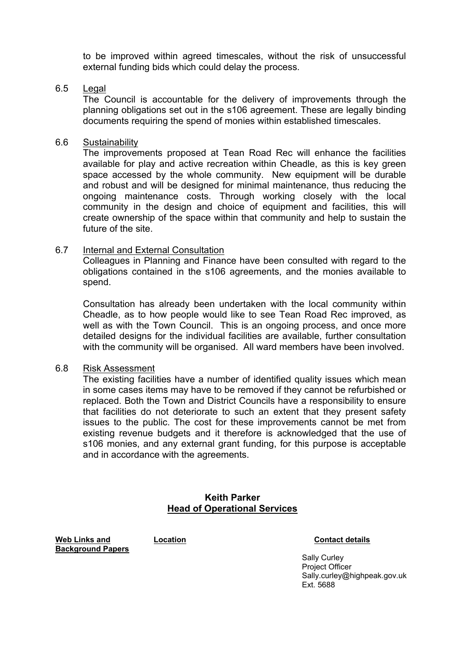to be improved within agreed timescales, without the risk of unsuccessful external funding bids which could delay the process.

#### 6.5 Legal

The Council is accountable for the delivery of improvements through the planning obligations set out in the s106 agreement. These are legally binding documents requiring the spend of monies within established timescales.

#### 6.6 Sustainability

The improvements proposed at Tean Road Rec will enhance the facilities available for play and active recreation within Cheadle, as this is key green space accessed by the whole community. New equipment will be durable and robust and will be designed for minimal maintenance, thus reducing the ongoing maintenance costs. Through working closely with the local community in the design and choice of equipment and facilities, this will create ownership of the space within that community and help to sustain the future of the site.

### 6.7 Internal and External Consultation

Colleagues in Planning and Finance have been consulted with regard to the obligations contained in the s106 agreements, and the monies available to spend.

Consultation has already been undertaken with the local community within Cheadle, as to how people would like to see Tean Road Rec improved, as well as with the Town Council. This is an ongoing process, and once more detailed designs for the individual facilities are available, further consultation with the community will be organised. All ward members have been involved.

# 6.8 Risk Assessment

The existing facilities have a number of identified quality issues which mean in some cases items may have to be removed if they cannot be refurbished or replaced. Both the Town and District Councils have a responsibility to ensure that facilities do not deteriorate to such an extent that they present safety issues to the public. The cost for these improvements cannot be met from existing revenue budgets and it therefore is acknowledged that the use of s106 monies, and any external grant funding, for this purpose is acceptable and in accordance with the agreements.

# **Keith Parker Head of Operational Services**

**Web Links and Background Papers**

**Location Contact details**

Sally Curley Project Officer Sally.curley@highpeak.gov.uk Ext. 5688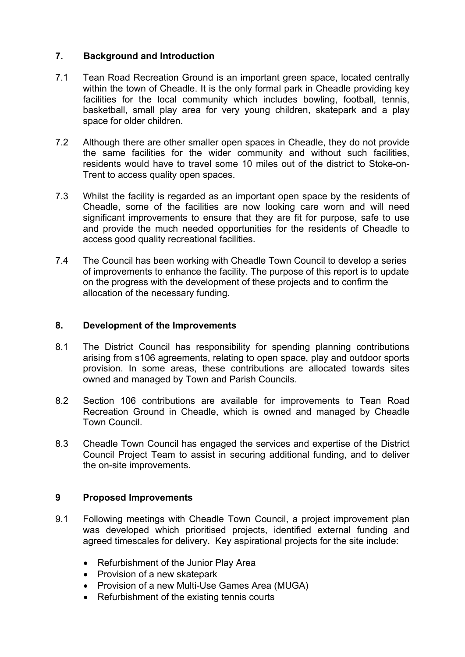# **7. Background and Introduction**

- 7.1 Tean Road Recreation Ground is an important green space, located centrally within the town of Cheadle. It is the only formal park in Cheadle providing key facilities for the local community which includes bowling, football, tennis, basketball, small play area for very young children, skatepark and a play space for older children.
- 7.2 Although there are other smaller open spaces in Cheadle, they do not provide the same facilities for the wider community and without such facilities, residents would have to travel some 10 miles out of the district to Stoke-on-Trent to access quality open spaces.
- 7.3 Whilst the facility is regarded as an important open space by the residents of Cheadle, some of the facilities are now looking care worn and will need significant improvements to ensure that they are fit for purpose, safe to use and provide the much needed opportunities for the residents of Cheadle to access good quality recreational facilities.
- 7.4 The Council has been working with Cheadle Town Council to develop a series of improvements to enhance the facility. The purpose of this report is to update on the progress with the development of these projects and to confirm the allocation of the necessary funding.

# **8. Development of the Improvements**

- 8.1 The District Council has responsibility for spending planning contributions arising from s106 agreements, relating to open space, play and outdoor sports provision. In some areas, these contributions are allocated towards sites owned and managed by Town and Parish Councils.
- 8.2 Section 106 contributions are available for improvements to Tean Road Recreation Ground in Cheadle, which is owned and managed by Cheadle Town Council.
- 8.3 Cheadle Town Council has engaged the services and expertise of the District Council Project Team to assist in securing additional funding, and to deliver the on-site improvements.

# **9 Proposed Improvements**

- 9.1 Following meetings with Cheadle Town Council, a project improvement plan was developed which prioritised projects, identified external funding and agreed timescales for delivery. Key aspirational projects for the site include:
	- Refurbishment of the Junior Play Area
	- Provision of a new skatepark
	- Provision of a new Multi-Use Games Area (MUGA)
	- Refurbishment of the existing tennis courts